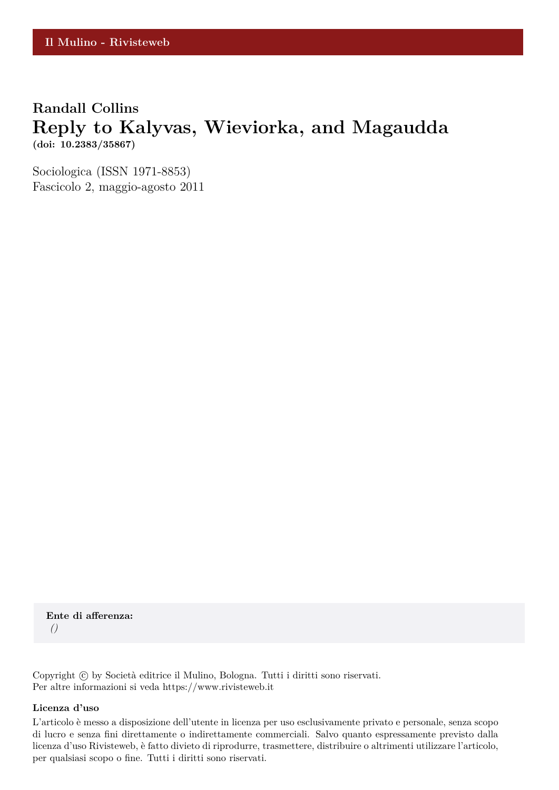## **Randall Collins Reply to Kalyvas, Wieviorka, and Magaudda (doi: 10.2383/35867)**

Sociologica (ISSN 1971-8853) Fascicolo 2, maggio-agosto 2011

**Ente di afferenza:** *()*

Copyright © by Società editrice il Mulino, Bologna. Tutti i diritti sono riservati. Per altre informazioni si veda https://www.rivisteweb.it

#### **Licenza d'uso**

L'articolo è messo a disposizione dell'utente in licenza per uso esclusivamente privato e personale, senza scopo di lucro e senza fini direttamente o indirettamente commerciali. Salvo quanto espressamente previsto dalla licenza d'uso Rivisteweb, è fatto divieto di riprodurre, trasmettere, distribuire o altrimenti utilizzare l'articolo, per qualsiasi scopo o fine. Tutti i diritti sono riservati.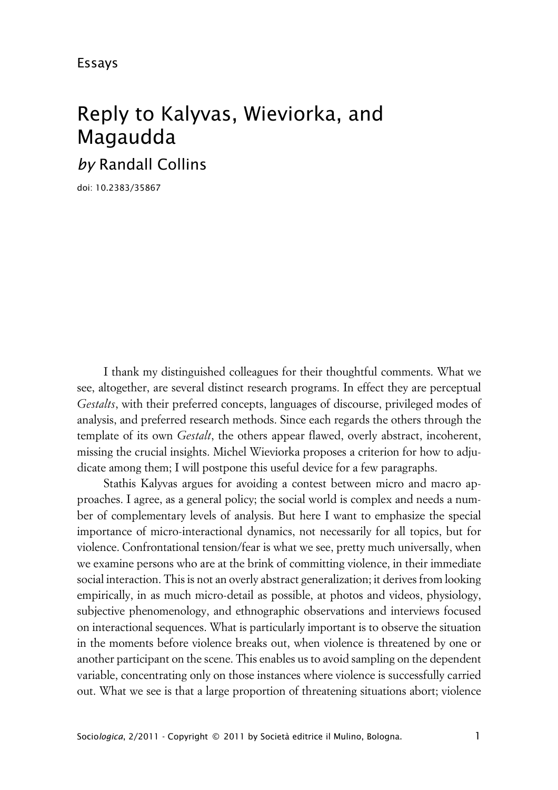# Reply to Kalyvas, Wieviorka, and Magaudda

*by* Randall Collins

doi: 10.2383/35867

I thank my distinguished colleagues for their thoughtful comments. What we see, altogether, are several distinct research programs. In effect they are perceptual *Gestalts*, with their preferred concepts, languages of discourse, privileged modes of analysis, and preferred research methods. Since each regards the others through the template of its own *Gestalt*, the others appear flawed, overly abstract, incoherent, missing the crucial insights. Michel Wieviorka proposes a criterion for how to adjudicate among them; I will postpone this useful device for a few paragraphs.

Stathis Kalyvas argues for avoiding a contest between micro and macro approaches. I agree, as a general policy; the social world is complex and needs a number of complementary levels of analysis. But here I want to emphasize the special importance of micro-interactional dynamics, not necessarily for all topics, but for violence. Confrontational tension/fear is what we see, pretty much universally, when we examine persons who are at the brink of committing violence, in their immediate social interaction. This is not an overly abstract generalization; it derives from looking empirically, in as much micro-detail as possible, at photos and videos, physiology, subjective phenomenology, and ethnographic observations and interviews focused on interactional sequences. What is particularly important is to observe the situation in the moments before violence breaks out, when violence is threatened by one or another participant on the scene. This enables us to avoid sampling on the dependent variable, concentrating only on those instances where violence is successfully carried out. What we see is that a large proportion of threatening situations abort; violence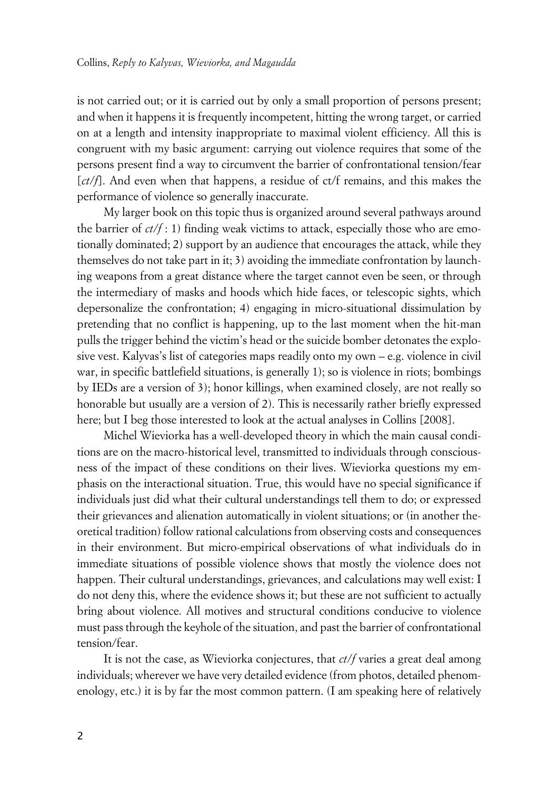is not carried out; or it is carried out by only a small proportion of persons present; and when it happens it is frequently incompetent, hitting the wrong target, or carried on at a length and intensity inappropriate to maximal violent efficiency. All this is congruent with my basic argument: carrying out violence requires that some of the persons present find a way to circumvent the barrier of confrontational tension/fear [*ct/f*]. And even when that happens, a residue of ct/f remains, and this makes the performance of violence so generally inaccurate.

My larger book on this topic thus is organized around several pathways around the barrier of  $ct/f$ : 1) finding weak victims to attack, especially those who are emotionally dominated; 2) support by an audience that encourages the attack, while they themselves do not take part in it; 3) avoiding the immediate confrontation by launching weapons from a great distance where the target cannot even be seen, or through the intermediary of masks and hoods which hide faces, or telescopic sights, which depersonalize the confrontation; 4) engaging in micro-situational dissimulation by pretending that no conflict is happening, up to the last moment when the hit-man pulls the trigger behind the victim's head or the suicide bomber detonates the explosive vest. Kalyvas's list of categories maps readily onto my own – e.g. violence in civil war, in specific battlefield situations, is generally 1); so is violence in riots; bombings by IEDs are a version of 3); honor killings, when examined closely, are not really so honorable but usually are a version of 2). This is necessarily rather briefly expressed here; but I beg those interested to look at the actual analyses in Collins [2008].

Michel Wieviorka has a well-developed theory in which the main causal conditions are on the macro-historical level, transmitted to individuals through consciousness of the impact of these conditions on their lives. Wieviorka questions my emphasis on the interactional situation. True, this would have no special significance if individuals just did what their cultural understandings tell them to do; or expressed their grievances and alienation automatically in violent situations; or (in another theoretical tradition) follow rational calculations from observing costs and consequences in their environment. But micro-empirical observations of what individuals do in immediate situations of possible violence shows that mostly the violence does not happen. Their cultural understandings, grievances, and calculations may well exist: I do not deny this, where the evidence shows it; but these are not sufficient to actually bring about violence. All motives and structural conditions conducive to violence must pass through the keyhole of the situation, and past the barrier of confrontational tension/fear.

It is not the case, as Wieviorka conjectures, that *ct/f* varies a great deal among individuals; wherever we have very detailed evidence (from photos, detailed phenomenology, etc.) it is by far the most common pattern. (I am speaking here of relatively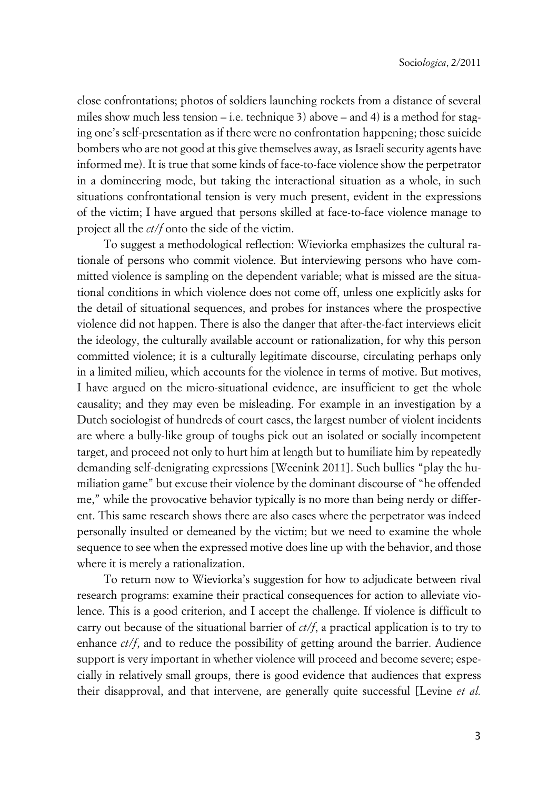close confrontations; photos of soldiers launching rockets from a distance of several miles show much less tension – i.e. technique 3) above – and 4) is a method for staging one's self-presentation as if there were no confrontation happening; those suicide bombers who are not good at this give themselves away, as Israeli security agents have informed me). It is true that some kinds of face-to-face violence show the perpetrator in a domineering mode, but taking the interactional situation as a whole, in such situations confrontational tension is very much present, evident in the expressions of the victim; I have argued that persons skilled at face-to-face violence manage to project all the *ct/f* onto the side of the victim.

To suggest a methodological reflection: Wieviorka emphasizes the cultural rationale of persons who commit violence. But interviewing persons who have committed violence is sampling on the dependent variable; what is missed are the situational conditions in which violence does not come off, unless one explicitly asks for the detail of situational sequences, and probes for instances where the prospective violence did not happen. There is also the danger that after-the-fact interviews elicit the ideology, the culturally available account or rationalization, for why this person committed violence; it is a culturally legitimate discourse, circulating perhaps only in a limited milieu, which accounts for the violence in terms of motive. But motives, I have argued on the micro-situational evidence, are insufficient to get the whole causality; and they may even be misleading. For example in an investigation by a Dutch sociologist of hundreds of court cases, the largest number of violent incidents are where a bully-like group of toughs pick out an isolated or socially incompetent target, and proceed not only to hurt him at length but to humiliate him by repeatedly demanding self-denigrating expressions [Weenink 2011]. Such bullies "play the humiliation game" but excuse their violence by the dominant discourse of "he offended me," while the provocative behavior typically is no more than being nerdy or different. This same research shows there are also cases where the perpetrator was indeed personally insulted or demeaned by the victim; but we need to examine the whole sequence to see when the expressed motive does line up with the behavior, and those where it is merely a rationalization.

To return now to Wieviorka's suggestion for how to adjudicate between rival research programs: examine their practical consequences for action to alleviate violence. This is a good criterion, and I accept the challenge. If violence is difficult to carry out because of the situational barrier of *ct/f*, a practical application is to try to enhance *ct/f*, and to reduce the possibility of getting around the barrier. Audience support is very important in whether violence will proceed and become severe; especially in relatively small groups, there is good evidence that audiences that express their disapproval, and that intervene, are generally quite successful [Levine *et al.*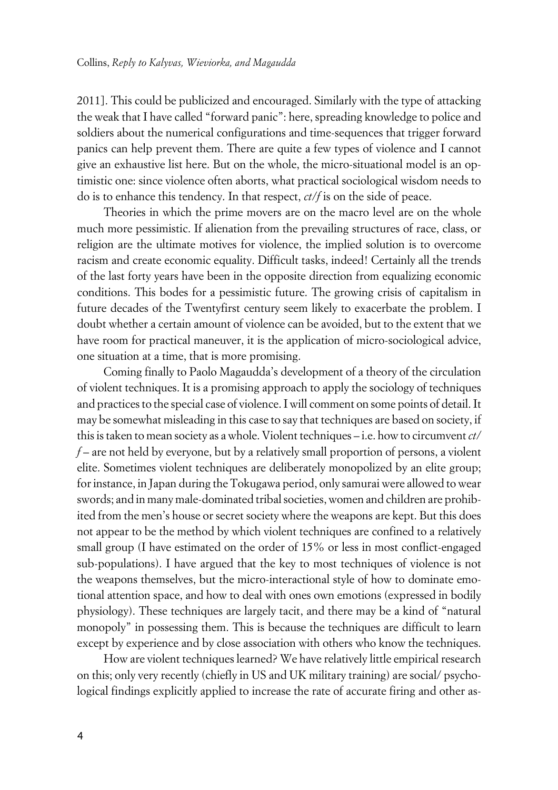2011]. This could be publicized and encouraged. Similarly with the type of attacking the weak that I have called "forward panic": here, spreading knowledge to police and soldiers about the numerical configurations and time-sequences that trigger forward panics can help prevent them. There are quite a few types of violence and I cannot give an exhaustive list here. But on the whole, the micro-situational model is an optimistic one: since violence often aborts, what practical sociological wisdom needs to do is to enhance this tendency. In that respect, *ct/f* is on the side of peace.

Theories in which the prime movers are on the macro level are on the whole much more pessimistic. If alienation from the prevailing structures of race, class, or religion are the ultimate motives for violence, the implied solution is to overcome racism and create economic equality. Difficult tasks, indeed! Certainly all the trends of the last forty years have been in the opposite direction from equalizing economic conditions. This bodes for a pessimistic future. The growing crisis of capitalism in future decades of the Twentyfirst century seem likely to exacerbate the problem. I doubt whether a certain amount of violence can be avoided, but to the extent that we have room for practical maneuver, it is the application of micro-sociological advice, one situation at a time, that is more promising.

Coming finally to Paolo Magaudda's development of a theory of the circulation of violent techniques. It is a promising approach to apply the sociology of techniques and practices to the special case of violence. I will comment on some points of detail. It may be somewhat misleading in this case to say that techniques are based on society, if this is taken to mean society as a whole. Violent techniques – i.e. how to circumvent *ct/ f* – are not held by everyone, but by a relatively small proportion of persons, a violent elite. Sometimes violent techniques are deliberately monopolized by an elite group; for instance, in Japan during the Tokugawa period, only samurai were allowed to wear swords; and in many male-dominated tribal societies, women and children are prohibited from the men's house or secret society where the weapons are kept. But this does not appear to be the method by which violent techniques are confined to a relatively small group (I have estimated on the order of 15% or less in most conflict-engaged sub-populations). I have argued that the key to most techniques of violence is not the weapons themselves, but the micro-interactional style of how to dominate emotional attention space, and how to deal with ones own emotions (expressed in bodily physiology). These techniques are largely tacit, and there may be a kind of "natural monopoly" in possessing them. This is because the techniques are difficult to learn except by experience and by close association with others who know the techniques.

How are violent techniques learned? We have relatively little empirical research on this; only very recently (chiefly in US and UK military training) are social/ psychological findings explicitly applied to increase the rate of accurate firing and other as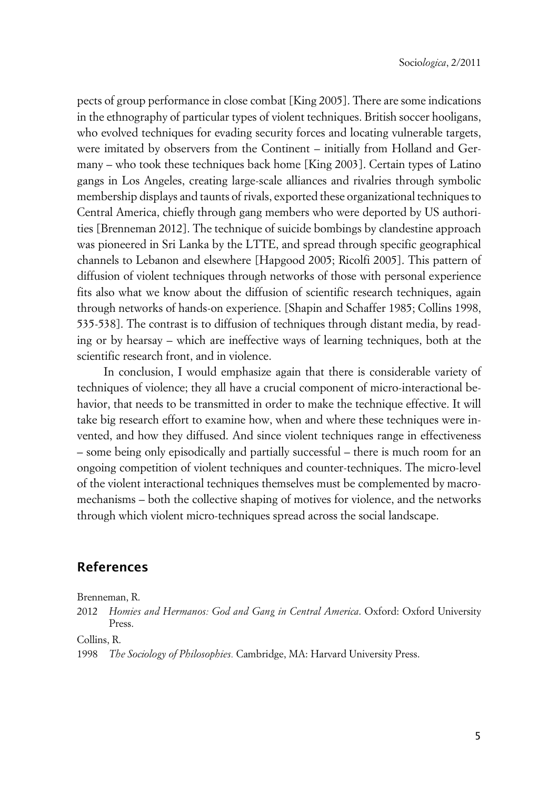pects of group performance in close combat [King 2005]. There are some indications in the ethnography of particular types of violent techniques. British soccer hooligans, who evolved techniques for evading security forces and locating vulnerable targets, were imitated by observers from the Continent – initially from Holland and Germany – who took these techniques back home [King 2003]. Certain types of Latino gangs in Los Angeles, creating large-scale alliances and rivalries through symbolic membership displays and taunts of rivals, exported these organizational techniques to Central America, chiefly through gang members who were deported by US authorities [Brenneman 2012]. The technique of suicide bombings by clandestine approach was pioneered in Sri Lanka by the LTTE, and spread through specific geographical channels to Lebanon and elsewhere [Hapgood 2005; Ricolfi 2005]. This pattern of diffusion of violent techniques through networks of those with personal experience fits also what we know about the diffusion of scientific research techniques, again through networks of hands-on experience. [Shapin and Schaffer 1985; Collins 1998, 535-538]. The contrast is to diffusion of techniques through distant media, by reading or by hearsay – which are ineffective ways of learning techniques, both at the scientific research front, and in violence.

In conclusion, I would emphasize again that there is considerable variety of techniques of violence; they all have a crucial component of micro-interactional behavior, that needs to be transmitted in order to make the technique effective. It will take big research effort to examine how, when and where these techniques were invented, and how they diffused. And since violent techniques range in effectiveness – some being only episodically and partially successful – there is much room for an ongoing competition of violent techniques and counter-techniques. The micro-level of the violent interactional techniques themselves must be complemented by macromechanisms – both the collective shaping of motives for violence, and the networks through which violent micro-techniques spread across the social landscape.

### **References**

Brenneman, R.

2012 *Homies and Hermanos: God and Gang in Central America*. Oxford: Oxford University Press.

Collins, R.

1998 *The Sociology of Philosophies.* Cambridge, MA: Harvard University Press.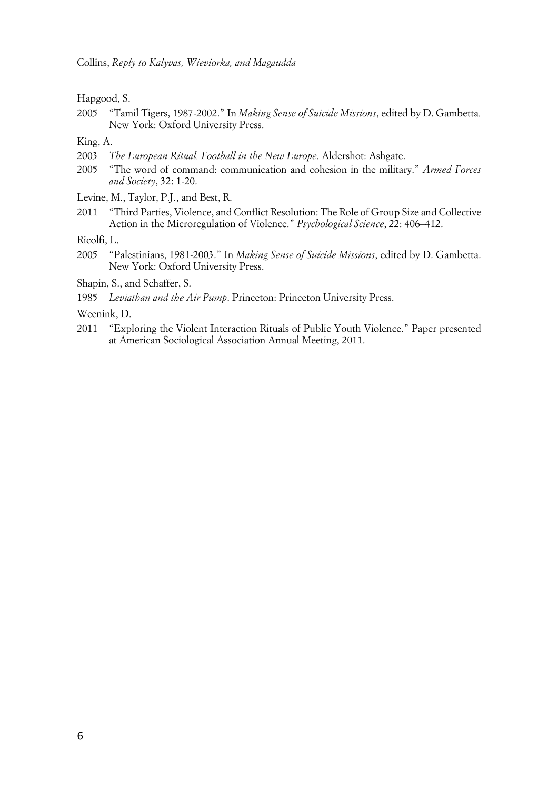Hapgood, S.

2005 "Tamil Tigers, 1987-2002." In *Making Sense of Suicide Missions*, edited by D. Gambetta*.* New York: Oxford University Press.

King, A.

- 2003 *The European Ritual. Football in the New Europe*. Aldershot: Ashgate.
- 2005 "The word of command: communication and cohesion in the military." *Armed Forces and Society*, 32: 1-20.
- Levine, M., Taylor, P.J., and Best, R.
- 2011 "Third Parties, Violence, and Conflict Resolution: The Role of Group Size and Collective Action in the Microregulation of Violence." *Psychological Science*, 22: 406–412.

Ricolfi, L.

2005 "Palestinians, 1981-2003." In *Making Sense of Suicide Missions*, edited by D. Gambetta. New York: Oxford University Press.

Shapin, S., and Schaffer, S.

1985 *Leviathan and the Air Pump*. Princeton: Princeton University Press.

Weenink, D.

2011 "Exploring the Violent Interaction Rituals of Public Youth Violence." Paper presented at American Sociological Association Annual Meeting, 2011.